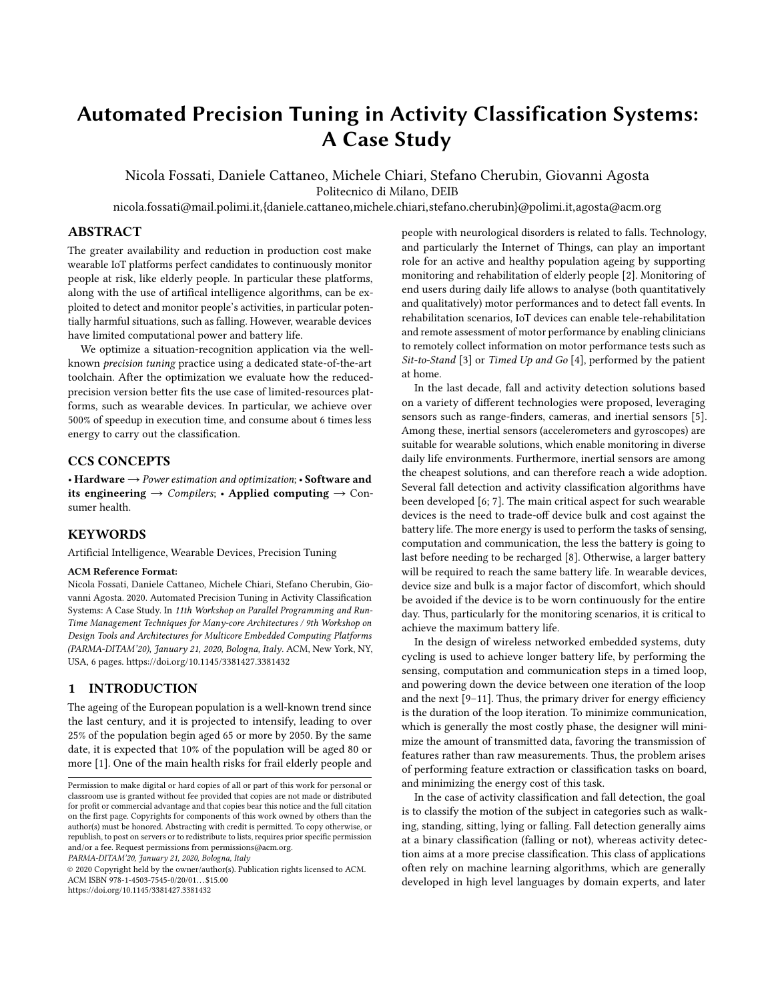# Automated Precision Tuning in Activity Classification Systems: A Case Study

Nicola Fossati, Daniele Cattaneo, Michele Chiari, Stefano Cherubin, Giovanni Agosta Politecnico di Milano, DEIB

nicola.fossati@mail.polimi.it,{daniele.cattaneo,michele.chiari,stefano.cherubin}@polimi.it,agosta@acm.org

## ABSTRACT

The greater availability and reduction in production cost make wearable IoT platforms perfect candidates to continuously monitor people at risk, like elderly people. In particular these platforms, along with the use of artifical intelligence algorithms, can be exploited to detect and monitor people's activities, in particular potentially harmful situations, such as falling. However, wearable devices have limited computational power and battery life.

We optimize a situation-recognition application via the wellknown precision tuning practice using a dedicated state-of-the-art toolchain. After the optimization we evaluate how the reducedprecision version better fits the use case of limited-resources platforms, such as wearable devices. In particular, we achieve over 500% of speedup in execution time, and consume about 6 times less energy to carry out the classification.

# CCS CONCEPTS

• Hardware  $\rightarrow$  Power estimation and optimization; • Software and its engineering  $\rightarrow$  Compilers; • Applied computing  $\rightarrow$  Consumer health.

# **KEYWORDS**

Artificial Intelligence, Wearable Devices, Precision Tuning

#### ACM Reference Format:

Nicola Fossati, Daniele Cattaneo, Michele Chiari, Stefano Cherubin, Giovanni Agosta. 2020. Automated Precision Tuning in Activity Classification Systems: A Case Study. In 11th Workshop on Parallel Programming and Run-Time Management Techniques for Many-core Architectures / 9th Workshop on Design Tools and Architectures for Multicore Embedded Computing Platforms (PARMA-DITAM'20), January 21, 2020, Bologna, Italy. ACM, New York, NY, USA, [6](#page-5-0) pages.<https://doi.org/10.1145/3381427.3381432>

## 1 INTRODUCTION

The ageing of the European population is a well-known trend since the last century, and it is projected to intensify, leading to over 25% of the population begin aged 65 or more by 2050. By the same date, it is expected that 10% of the population will be aged 80 or more [\[1\]](#page-5-1). One of the main health risks for frail elderly people and

PARMA-DITAM'20, January 21, 2020, Bologna, Italy

© 2020 Copyright held by the owner/author(s). Publication rights licensed to ACM. ACM ISBN 978-1-4503-7545-0/20/01...\$15.00 <https://doi.org/10.1145/3381427.3381432>

people with neurological disorders is related to falls. Technology, and particularly the Internet of Things, can play an important role for an active and healthy population ageing by supporting monitoring and rehabilitation of elderly people [\[2\]](#page-5-2). Monitoring of end users during daily life allows to analyse (both quantitatively and qualitatively) motor performances and to detect fall events. In rehabilitation scenarios, IoT devices can enable tele-rehabilitation and remote assessment of motor performance by enabling clinicians to remotely collect information on motor performance tests such as Sit-to-Stand [\[3\]](#page-5-3) or Timed Up and Go [\[4\]](#page-5-4), performed by the patient at home.

In the last decade, fall and activity detection solutions based on a variety of different technologies were proposed, leveraging sensors such as range-finders, cameras, and inertial sensors [\[5\]](#page-5-5). Among these, inertial sensors (accelerometers and gyroscopes) are suitable for wearable solutions, which enable monitoring in diverse daily life environments. Furthermore, inertial sensors are among the cheapest solutions, and can therefore reach a wide adoption. Several fall detection and activity classification algorithms have been developed [\[6;](#page-5-6) [7\]](#page-5-7). The main critical aspect for such wearable devices is the need to trade-off device bulk and cost against the battery life. The more energy is used to perform the tasks of sensing, computation and communication, the less the battery is going to last before needing to be recharged [\[8\]](#page-5-8). Otherwise, a larger battery will be required to reach the same battery life. In wearable devices, device size and bulk is a major factor of discomfort, which should be avoided if the device is to be worn continuously for the entire day. Thus, particularly for the monitoring scenarios, it is critical to achieve the maximum battery life.

In the design of wireless networked embedded systems, duty cycling is used to achieve longer battery life, by performing the sensing, computation and communication steps in a timed loop, and powering down the device between one iteration of the loop and the next [\[9](#page-5-9)[–11\]](#page-5-10). Thus, the primary driver for energy efficiency is the duration of the loop iteration. To minimize communication, which is generally the most costly phase, the designer will minimize the amount of transmitted data, favoring the transmission of features rather than raw measurements. Thus, the problem arises of performing feature extraction or classification tasks on board, and minimizing the energy cost of this task.

In the case of activity classification and fall detection, the goal is to classify the motion of the subject in categories such as walking, standing, sitting, lying or falling. Fall detection generally aims at a binary classification (falling or not), whereas activity detection aims at a more precise classification. This class of applications often rely on machine learning algorithms, which are generally developed in high level languages by domain experts, and later

Permission to make digital or hard copies of all or part of this work for personal or classroom use is granted without fee provided that copies are not made or distributed for profit or commercial advantage and that copies bear this notice and the full citation on the first page. Copyrights for components of this work owned by others than the author(s) must be honored. Abstracting with credit is permitted. To copy otherwise, or republish, to post on servers or to redistribute to lists, requires prior specific permission and/or a fee. Request permissions from permissions@acm.org.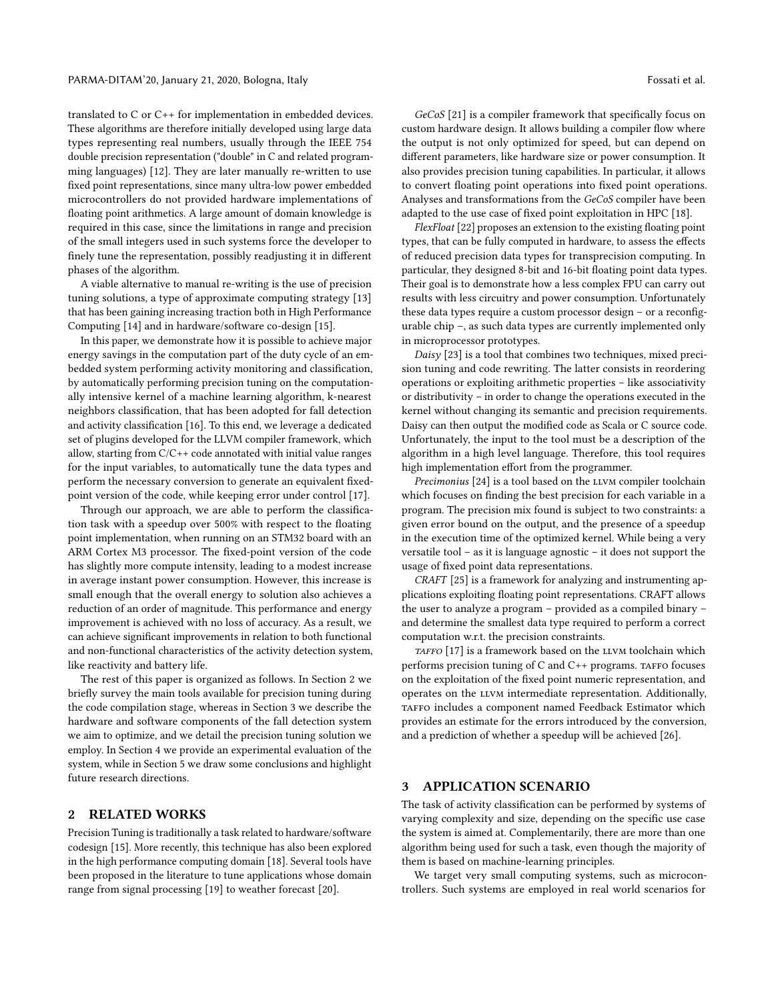translated to C or C++ for implementation in embedded devices. These algorithms are therefore initially developed using large data types representing real numbers, usually through the IEEE 754 double precision representation ("double" in C and related programming languages) [\[12\]](#page-5-11). They are later manually re-written to use fixed point representations, since many ultra-low power embedded microcontrollers do not provided hardware implementations of floating point arithmetics. A large amount of domain knowledge is required in this case, since the limitations in range and precision of the small integers used in such systems force the developer to finely tune the representation, possibly readjusting it in different phases of the algorithm.

A viable alternative to manual re-writing is the use of precision tuning solutions, a type of approximate computing strategy [\[13\]](#page-5-12) that has been gaining increasing traction both in High Performance Computing [\[14\]](#page-5-13) and in hardware/software co-design [\[15\]](#page-5-14).

In this paper, we demonstrate how it is possible to achieve major energy savings in the computation part of the duty cycle of an embedded system performing activity monitoring and classification, by automatically performing precision tuning on the computationally intensive kernel of a machine learning algorithm, k-nearest neighbors classification, that has been adopted for fall detection and activity classification [\[16\]](#page-5-15). To this end, we leverage a dedicated set of plugins developed for the LLVM compiler framework, which allow, starting from  $C/C++$  code annotated with initial value ranges for the input variables, to automatically tune the data types and perform the necessary conversion to generate an equivalent fixedpoint version of the code, while keeping error under control [\[17\]](#page-5-16).

Through our approach, we are able to perform the classification task with a speedup over 500% with respect to the floating point implementation, when running on an STM32 board with an ARM Cortex M3 processor. The fixed-point version of the code has slightly more compute intensity, leading to a modest increase in average instant power consumption. However, this increase is small enough that the overall energy to solution also achieves a reduction of an order of magnitude. This performance and energy improvement is achieved with no loss of accuracy. As a result, we can achieve significant improvements in relation to both functional and non-functional characteristics of the activity detection system, like reactivity and battery life.

The rest of this paper is organized as follows. In Section [2](#page-1-0) we briefly survey the main tools available for precision tuning during the code compilation stage, whereas in Section [3](#page-1-1) we describe the hardware and software components of the fall detection system we aim to optimize, and we detail the precision tuning solution we employ. In Section [4](#page-3-0) we provide an experimental evaluation of the system, while in Section [5](#page-5-17) we draw some conclusions and highlight future research directions.

# <span id="page-1-0"></span>2 RELATED WORKS

Precision Tuning is traditionally a task related to hardware/software codesign [\[15\]](#page-5-14). More recently, this technique has also been explored in the high performance computing domain [\[18\]](#page-5-18). Several tools have been proposed in the literature to tune applications whose domain range from signal processing [\[19\]](#page-5-19) to weather forecast [\[20\]](#page-5-20).

GeCoS [\[21\]](#page-5-21) is a compiler framework that specifically focus on custom hardware design. It allows building a compiler flow where the output is not only optimized for speed, but can depend on different parameters, like hardware size or power consumption. It also provides precision tuning capabilities. In particular, it allows to convert floating point operations into fixed point operations. Analyses and transformations from the GeCoS compiler have been adapted to the use case of fixed point exploitation in HPC [\[18\]](#page-5-18).

FlexFloat [\[22\]](#page-5-22) proposes an extension to the existing floating point types, that can be fully computed in hardware, to assess the effects of reduced precision data types for transprecision computing. In particular, they designed 8-bit and 16-bit floating point data types. Their goal is to demonstrate how a less complex FPU can carry out results with less circuitry and power consumption. Unfortunately these data types require a custom processor design – or a reconfigurable chip –, as such data types are currently implemented only in microprocessor prototypes.

Daisy [\[23\]](#page-5-23) is a tool that combines two techniques, mixed precision tuning and code rewriting. The latter consists in reordering operations or exploiting arithmetic properties – like associativity or distributivity – in order to change the operations executed in the kernel without changing its semantic and precision requirements. Daisy can then output the modified code as Scala or C source code. Unfortunately, the input to the tool must be a description of the algorithm in a high level language. Therefore, this tool requires high implementation effort from the programmer.

Precimonius [\[24\]](#page-5-24) is a tool based on the LLVM compiler toolchain which focuses on finding the best precision for each variable in a program. The precision mix found is subject to two constraints: a given error bound on the output, and the presence of a speedup in the execution time of the optimized kernel. While being a very versatile tool – as it is language agnostic – it does not support the usage of fixed point data representations.

CRAFT [\[25\]](#page-5-25) is a framework for analyzing and instrumenting applications exploiting floating point representations. CRAFT allows the user to analyze a program – provided as a compiled binary – and determine the smallest data type required to perform a correct computation w.r.t. the precision constraints.

TAFFO [\[17\]](#page-5-16) is a framework based on the LLVM toolchain which performs precision tuning of  $C$  and  $C++$  programs. TAFFO focuses on the exploitation of the fixed point numeric representation, and operates on the LLVM intermediate representation. Additionally, TAFFO includes a component named Feedback Estimator which provides an estimate for the errors introduced by the conversion, and a prediction of whether a speedup will be achieved [\[26\]](#page-5-26).

#### <span id="page-1-1"></span>3 APPLICATION SCENARIO

The task of activity classification can be performed by systems of varying complexity and size, depending on the specific use case the system is aimed at. Complementarily, there are more than one algorithm being used for such a task, even though the majority of them is based on machine-learning principles.

We target very small computing systems, such as microcontrollers. Such systems are employed in real world scenarios for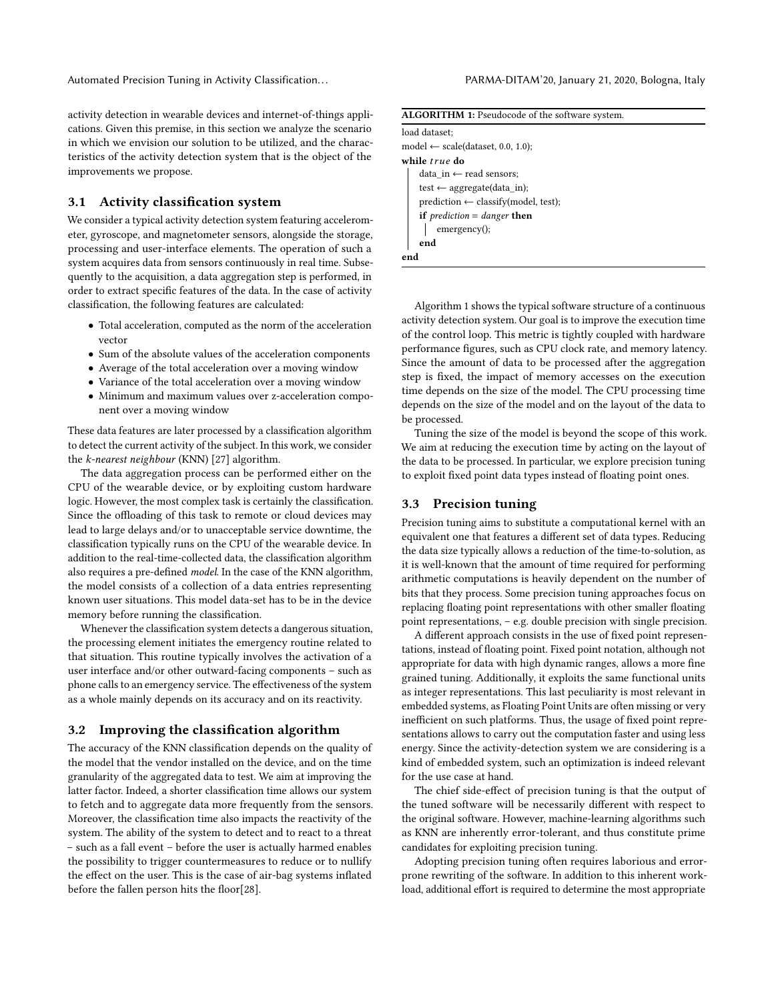Automated Precision Tuning in Activity Classification. . . PARMA-DITAM'20, January 21, 2020, Bologna, Italy

activity detection in wearable devices and internet-of-things applications. Given this premise, in this section we analyze the scenario in which we envision our solution to be utilized, and the characteristics of the activity detection system that is the object of the improvements we propose.

## 3.1 Activity classification system

We consider a typical activity detection system featuring accelerometer, gyroscope, and magnetometer sensors, alongside the storage, processing and user-interface elements. The operation of such a system acquires data from sensors continuously in real time. Subsequently to the acquisition, a data aggregation step is performed, in order to extract specific features of the data. In the case of activity classification, the following features are calculated:

- Total acceleration, computed as the norm of the acceleration vector
- Sum of the absolute values of the acceleration components
- Average of the total acceleration over a moving window
- Variance of the total acceleration over a moving window
- Minimum and maximum values over z-acceleration component over a moving window

These data features are later processed by a classification algorithm to detect the current activity of the subject. In this work, we consider the k-nearest neighbour (KNN) [\[27\]](#page-5-27) algorithm.

The data aggregation process can be performed either on the CPU of the wearable device, or by exploiting custom hardware logic. However, the most complex task is certainly the classification. Since the offloading of this task to remote or cloud devices may lead to large delays and/or to unacceptable service downtime, the classification typically runs on the CPU of the wearable device. In addition to the real-time-collected data, the classification algorithm also requires a pre-defined model. In the case of the KNN algorithm, the model consists of a collection of a data entries representing known user situations. This model data-set has to be in the device memory before running the classification.

Whenever the classification system detects a dangerous situation, the processing element initiates the emergency routine related to that situation. This routine typically involves the activation of a user interface and/or other outward-facing components – such as phone calls to an emergency service. The effectiveness of the system as a whole mainly depends on its accuracy and on its reactivity.

## 3.2 Improving the classification algorithm

The accuracy of the KNN classification depends on the quality of the model that the vendor installed on the device, and on the time granularity of the aggregated data to test. We aim at improving the latter factor. Indeed, a shorter classification time allows our system to fetch and to aggregate data more frequently from the sensors. Moreover, the classification time also impacts the reactivity of the system. The ability of the system to detect and to react to a threat – such as a fall event – before the user is actually harmed enables the possibility to trigger countermeasures to reduce or to nullify the effect on the user. This is the case of air-bag systems inflated before the fallen person hits the floor[\[28\]](#page-5-28).

| <b>ALGORITHM 1:</b> Pseudocode of the software system. |  |  |  |  |
|--------------------------------------------------------|--|--|--|--|
| load dataset;                                          |  |  |  |  |
| model $\leftarrow$ scale(dataset, 0.0, 1.0);           |  |  |  |  |
| while <i>true</i> do                                   |  |  |  |  |
| data in $\leftarrow$ read sensors;                     |  |  |  |  |
| test $\leftarrow$ aggregate(data in);                  |  |  |  |  |
| $prediction \leftarrow classify(model, test);$         |  |  |  |  |
| <b>if</b> prediction = danger <b>then</b>              |  |  |  |  |
| emergency();                                           |  |  |  |  |
| end                                                    |  |  |  |  |
| end                                                    |  |  |  |  |

<span id="page-2-0"></span>Algorithm [1](#page-2-0) shows the typical software structure of a continuous activity detection system. Our goal is to improve the execution time of the control loop. This metric is tightly coupled with hardware performance figures, such as CPU clock rate, and memory latency. Since the amount of data to be processed after the aggregation step is fixed, the impact of memory accesses on the execution time depends on the size of the model. The CPU processing time depends on the size of the model and on the layout of the data to be processed.

Tuning the size of the model is beyond the scope of this work. We aim at reducing the execution time by acting on the layout of the data to be processed. In particular, we explore precision tuning to exploit fixed point data types instead of floating point ones.

#### 3.3 Precision tuning

Precision tuning aims to substitute a computational kernel with an equivalent one that features a different set of data types. Reducing the data size typically allows a reduction of the time-to-solution, as it is well-known that the amount of time required for performing arithmetic computations is heavily dependent on the number of bits that they process. Some precision tuning approaches focus on replacing floating point representations with other smaller floating point representations, – e.g. double precision with single precision.

A different approach consists in the use of fixed point representations, instead of floating point. Fixed point notation, although not appropriate for data with high dynamic ranges, allows a more fine grained tuning. Additionally, it exploits the same functional units as integer representations. This last peculiarity is most relevant in embedded systems, as Floating Point Units are often missing or very inefficient on such platforms. Thus, the usage of fixed point representations allows to carry out the computation faster and using less energy. Since the activity-detection system we are considering is a kind of embedded system, such an optimization is indeed relevant for the use case at hand.

The chief side-effect of precision tuning is that the output of the tuned software will be necessarily different with respect to the original software. However, machine-learning algorithms such as KNN are inherently error-tolerant, and thus constitute prime candidates for exploiting precision tuning.

Adopting precision tuning often requires laborious and errorprone rewriting of the software. In addition to this inherent workload, additional effort is required to determine the most appropriate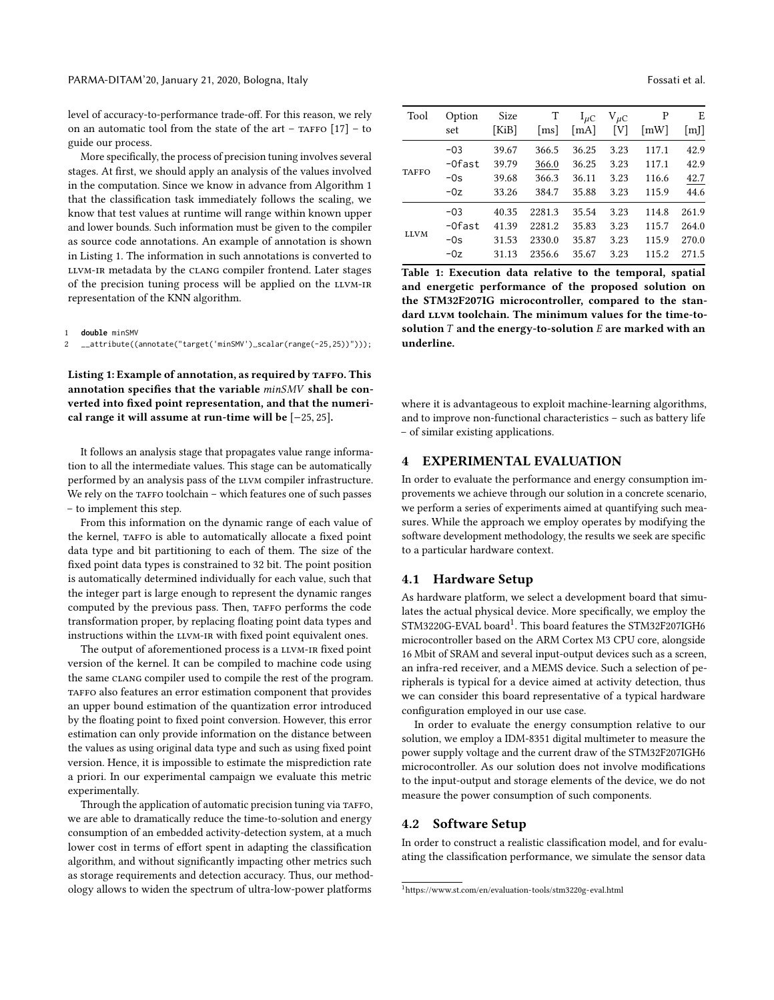level of accuracy-to-performance trade-off. For this reason, we rely on an automatic tool from the state of the art – TAFFO  $[17]$  – to guide our process.

More specifically, the process of precision tuning involves several stages. At first, we should apply an analysis of the values involved in the computation. Since we know in advance from Algorithm [1](#page-2-0) that the classification task immediately follows the scaling, we know that test values at runtime will range within known upper and lower bounds. Such information must be given to the compiler as source code annotations. An example of annotation is shown in Listing [1.](#page-3-1) The information in such annotations is converted to LLVM-IR metadata by the CLANG compiler frontend. Later stages of the precision tuning process will be applied on the LLVM-IR representation of the KNN algorithm.

<span id="page-3-1"></span>1 **double** minSMV

2 \_\_attribute((annotate("target('minSMV')␣scalar(range(-25,25))")));

Listing 1: Example of annotation, as required by TAFFO. This annotation specifies that the variable minSMV shall be converted into fixed point representation, and that the numerical range it will assume at run-time will be [−25, <sup>25</sup>].

It follows an analysis stage that propagates value range information to all the intermediate values. This stage can be automatically performed by an analysis pass of the LLVM compiler infrastructure. We rely on the TAFFO toolchain - which features one of such passes – to implement this step.

From this information on the dynamic range of each value of the kernel, TAFFO is able to automatically allocate a fixed point data type and bit partitioning to each of them. The size of the fixed point data types is constrained to 32 bit. The point position is automatically determined individually for each value, such that the integer part is large enough to represent the dynamic ranges computed by the previous pass. Then, TAFFO performs the code transformation proper, by replacing floating point data types and instructions within the LLVM-IR with fixed point equivalent ones.

The output of aforementioned process is a LLVM-IR fixed point version of the kernel. It can be compiled to machine code using the same clang compiler used to compile the rest of the program. TAFFO also features an error estimation component that provides an upper bound estimation of the quantization error introduced by the floating point to fixed point conversion. However, this error estimation can only provide information on the distance between the values as using original data type and such as using fixed point version. Hence, it is impossible to estimate the misprediction rate a priori. In our experimental campaign we evaluate this metric experimentally.

Through the application of automatic precision tuning via TAFFO, we are able to dramatically reduce the time-to-solution and energy consumption of an embedded activity-detection system, at a much lower cost in terms of effort spent in adapting the classification algorithm, and without significantly impacting other metrics such as storage requirements and detection accuracy. Thus, our methodology allows to widen the spectrum of ultra-low-power platforms

<span id="page-3-4"></span>

| Tool        | Option<br>set | Size<br>[KiB] | T<br>$\lfloor ms \rfloor$ | $I_{\mu C}$<br>[mA] | $V_{\mu C}$<br>[V] | Ρ<br>$\lceil mW \rceil$ | E<br>[m] |
|-------------|---------------|---------------|---------------------------|---------------------|--------------------|-------------------------|----------|
| TAFFO       | $-03$         | 39.67         | 366.5                     | 36.25               | 3.23               | 117.1                   | 42.9     |
|             | -Ofast        | 39.79         | 366.0                     | 36.25               | 3.23               | 117.1                   | 42.9     |
|             | $-0s$         | 39.68         | 366.3                     | 36.11               | 3.23               | 116.6                   | 42.7     |
|             | $-0z$         | 33.26         | 384.7                     | 35.88               | 3.23               | 115.9                   | 44.6     |
| <b>LLVM</b> | $-03$         | 40.35         | 2281.3                    | 35.54               | 3.23               | 114.8                   | 261.9    |
|             | -Ofast        | 41.39         | 2281.2                    | 35.83               | 3.23               | 115.7                   | 264.0    |
|             | $-0s$         | 31.53         | 2330.0                    | 35.87               | 3.23               | 115.9                   | 270.0    |
|             | $-0z$         | 31.13         | 2356.6                    | 35.67               | 3.23               | 115.2                   | 271.5    |

Table 1: Execution data relative to the temporal, spatial and energetic performance of the proposed solution on the STM32F207IG microcontroller, compared to the standard LLVM toolchain. The minimum values for the time-tosolution  $T$  and the energy-to-solution  $E$  are marked with an underline.

where it is advantageous to exploit machine-learning algorithms, and to improve non-functional characteristics – such as battery life – of similar existing applications.

### <span id="page-3-0"></span>4 EXPERIMENTAL EVALUATION

In order to evaluate the performance and energy consumption improvements we achieve through our solution in a concrete scenario, we perform a series of experiments aimed at quantifying such measures. While the approach we employ operates by modifying the software development methodology, the results we seek are specific to a particular hardware context.

#### <span id="page-3-3"></span>4.1 Hardware Setup

As hardware platform, we select a development board that simulates the actual physical device. More specifically, we employ the  $STM3220G$ -EVAL board<sup>[1](#page-3-2)</sup>. This board features the STM32F207IGH6 microcontroller based on the ARM Cortex M3 CPU core, alongside 16 Mbit of SRAM and several input-output devices such as a screen, an infra-red receiver, and a MEMS device. Such a selection of peripherals is typical for a device aimed at activity detection, thus we can consider this board representative of a typical hardware configuration employed in our use case.

In order to evaluate the energy consumption relative to our solution, we employ a IDM-8351 digital multimeter to measure the power supply voltage and the current draw of the STM32F207IGH6 microcontroller. As our solution does not involve modifications to the input-output and storage elements of the device, we do not measure the power consumption of such components.

## 4.2 Software Setup

In order to construct a realistic classification model, and for evaluating the classification performance, we simulate the sensor data

<span id="page-3-2"></span><sup>1</sup><https://www.st.com/en/evaluation-tools/stm3220g-eval.html>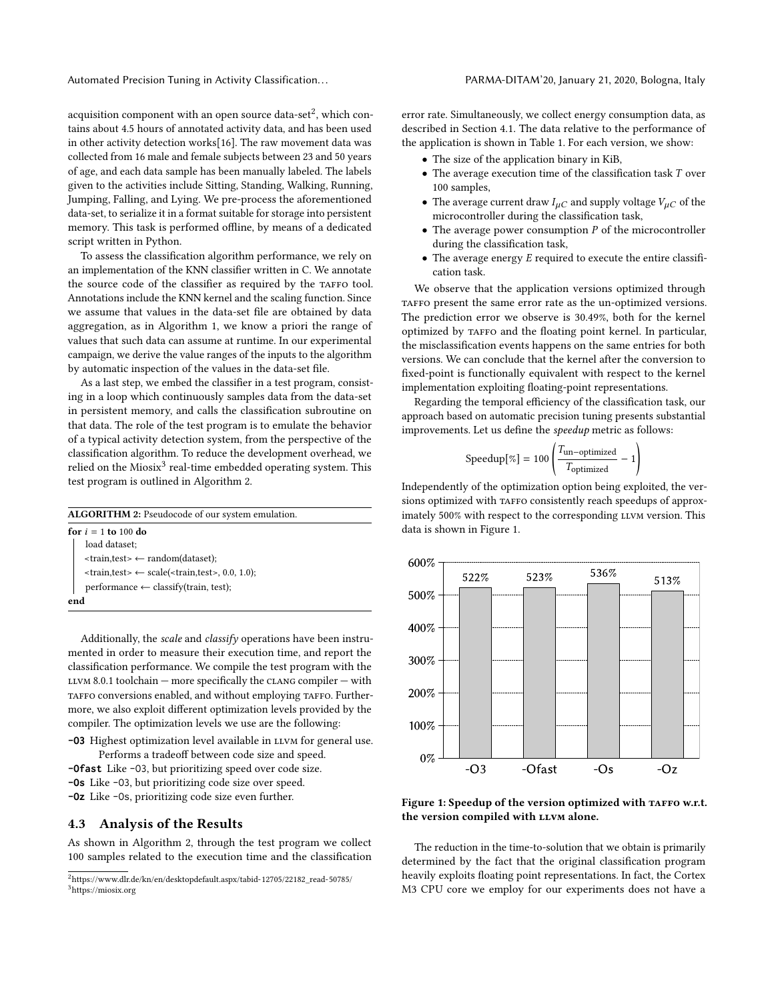Automated Precision Tuning in Activity Classification. . . PARMA-DITAM'20, January 21, 2020, Bologna, Italy

acquisition component with an open source data-set $^2$  $^2$ , which contains about 4.5 hours of annotated activity data, and has been used in other activity detection works[\[16\]](#page-5-15). The raw movement data was collected from 16 male and female subjects between 23 and 50 years of age, and each data sample has been manually labeled. The labels given to the activities include Sitting, Standing, Walking, Running, Jumping, Falling, and Lying. We pre-process the aforementioned data-set, to serialize it in a format suitable for storage into persistent memory. This task is performed offline, by means of a dedicated script written in Python.

To assess the classification algorithm performance, we rely on an implementation of the KNN classifier written in C. We annotate the source code of the classifier as required by the TAFFO tool. Annotations include the KNN kernel and the scaling function. Since we assume that values in the data-set file are obtained by data aggregation, as in Algorithm [1,](#page-2-0) we know a priori the range of values that such data can assume at runtime. In our experimental campaign, we derive the value ranges of the inputs to the algorithm by automatic inspection of the values in the data-set file.

As a last step, we embed the classifier in a test program, consisting in a loop which continuously samples data from the data-set in persistent memory, and calls the classification subroutine on that data. The role of the test program is to emulate the behavior of a typical activity detection system, from the perspective of the classification algorithm. To reduce the development overhead, we relied on the Miosix $^3$  $^3$  real-time embedded operating system. This test program is outlined in Algorithm [2.](#page-4-2)

| <b>ALGORITHM 2:</b> Pseudocode of our system emulation. |                                                                                         |  |  |  |
|---------------------------------------------------------|-----------------------------------------------------------------------------------------|--|--|--|
|                                                         | for $i = 1$ to 100 do                                                                   |  |  |  |
|                                                         | load dataset;                                                                           |  |  |  |
|                                                         | $\langle$ train,test $\rangle \leftarrow$ random(dataset);                              |  |  |  |
|                                                         | $\langle train, test \rangle \leftarrow scale(\langle train, test \rangle, 0.0, 1.0)$ ; |  |  |  |
|                                                         | $performance \leftarrow classify(train, test);$                                         |  |  |  |
|                                                         | end                                                                                     |  |  |  |

<span id="page-4-2"></span>Additionally, the scale and classify operations have been instrumented in order to measure their execution time, and report the classification performance. We compile the test program with the  $LUM 8.0.1$  toolchain — more specifically the CLANG compiler — with TAFFO conversions enabled, and without employing TAFFO. Furthermore, we also exploit different optimization levels provided by the compiler. The optimization levels we use are the following:

- **-03** Highest optimization level available in LLVM for general use. Performs a tradeoff between code size and speed.
- **-Ofast** Like -O3, but prioritizing speed over code size.
- **-Os** Like -O3, but prioritizing code size over speed.
- **-Oz** Like -Os, prioritizing code size even further.

## 4.3 Analysis of the Results

As shown in Algorithm [2,](#page-4-2) through the test program we collect 100 samples related to the execution time and the classification error rate. Simultaneously, we collect energy consumption data, as described in Section [4.1.](#page-3-3) The data relative to the performance of the application is shown in Table [1.](#page-3-4) For each version, we show:

- The size of the application binary in KiB,
- The average execution time of the classification task T over 100 samples,
- The average current draw  $I_{\mu C}$  and supply voltage  $V_{\mu C}$  of the microcontroller during the classification task,
- $\bullet$  The average power consumption  $P$  of the microcontroller during the classification task,
- $\bullet$  The average energy  $E$  required to execute the entire classification task.

We observe that the application versions optimized through TAFFO present the same error rate as the un-optimized versions. The prediction error we observe is 30.49%, both for the kernel optimized by TAFFO and the floating point kernel. In particular, the misclassification events happens on the same entries for both versions. We can conclude that the kernel after the conversion to fixed-point is functionally equivalent with respect to the kernel implementation exploiting floating-point representations.

Regarding the temporal efficiency of the classification task, our approach based on automatic precision tuning presents substantial improvements. Let us define the speedup metric as follows:

$$
Speedup[\%] = 100 \left( \frac{T_{\text{un-optimized}}}{T_{\text{optimized}}} - 1 \right)
$$

Independently of the optimization option being exploited, the versions optimized with TAFFO consistently reach speedups of approximately 500% with respect to the corresponding LLVM version. This data is shown in Figure [1.](#page-4-3)

<span id="page-4-3"></span>

Figure 1: Speedup of the version optimized with TAFFO w.r.t. the version compiled with LLVM alone.

The reduction in the time-to-solution that we obtain is primarily determined by the fact that the original classification program heavily exploits floating point representations. In fact, the Cortex M3 CPU core we employ for our experiments does not have a

<span id="page-4-1"></span><span id="page-4-0"></span> $^2$ [https://www.dlr.de/kn/en/desktopdefault.aspx/tabid-12705/22182\\_read-50785/](https://www.dlr.de/kn/en/desktopdefault.aspx/tabid-12705/22182_read-50785/)  $\,$ <sup>3</sup><https://miosix.org>